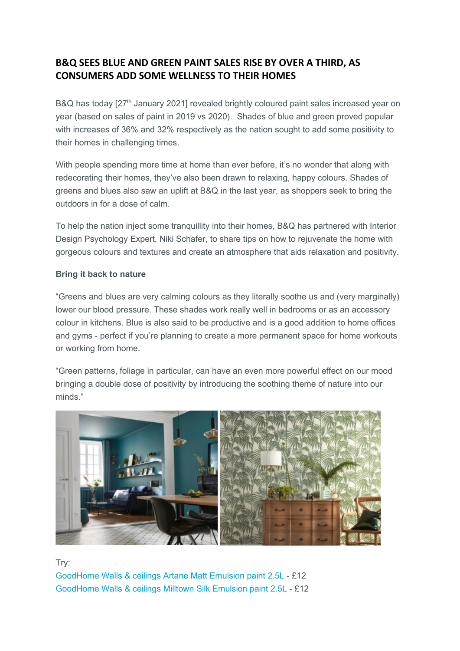# **B&Q SEES BLUE AND GREEN PAINT SALES RISE BY OVER A THIRD, AS CONSUMERS ADD SOME WELLNESS TO THEIR HOMES**

B&Q has today [27<sup>th</sup> January 2021] revealed brightly coloured paint sales increased year on year (based on sales of paint in 2019 vs 2020). Shades of blue and green proved popular with increases of 36% and 32% respectively as the nation sought to add some positivity to their homes in challenging times.

With people spending more time at home than ever before, it's no wonder that along with redecorating their homes, they've also been drawn to relaxing, happy colours. Shades of greens and blues also saw an uplift at B&Q in the last year, as shoppers seek to bring the outdoors in for a dose of calm.

To help the nation inject some tranquillity into their homes, B&Q has partnered with Interior Design Psychology Expert, Niki Schafer, to share tips on how to rejuvenate the home with gorgeous colours and textures and create an atmosphere that aids relaxation and positivity.

### **Bring it back to nature**

"Greens and blues are very calming colours as they literally soothe us and (very marginally) lower our blood pressure. These shades work really well in bedrooms or as an accessory colour in kitchens. Blue is also said to be productive and is a good addition to home offices and gyms - perfect if you're planning to create a more permanent space for home workouts or working from home.

"Green patterns, foliage in particular, can have an even more powerful effect on our mood bringing a double dose of positivity by introducing the soothing theme of nature into our minds."



Try: [GoodHome Walls & ceilings Artane Matt Emulsion paint 2.5L](https://mandrillapp.com/track/click/30141366/www.diy.com?p=eyJzIjoiVmN6WTR3bl9TQzdBa25mRDVwWS1kQkRxSUpJIiwidiI6MSwicCI6IntcInVcIjozMDE0MTM2NixcInZcIjoxLFwidXJsXCI6XCJodHRwczpcXFwvXFxcL3d3dy5kaXkuY29tXFxcL2RlcGFydG1lbnRzXFxcL2dvb2Rob21lLXdhbGxzLWNlaWxpbmdzLWFydGFuZS1tYXR0LWVtdWxzaW9uLXBhaW50LTItNWxcXFwvMzY2MzYwMjU5ODQ5N19CUS5wcmRcIixcImlkXCI6XCI4NzdhZTRlOWI1MGM0NmNlYTJiMDhmZmQxMzIzNDg2YlwiLFwidXJsX2lkc1wiOltcIjZkNjdmMDRkNjViOWYyNTFmNTJlZjhlOGVhZjY2YjU1ZjkxOGVjZGFcIl19In0) - £12 [GoodHome Walls & ceilings Milltown Silk Emulsion paint 2.5L](https://mandrillapp.com/track/click/30141366/www.diy.com?p=eyJzIjoiOXpaRjdKNnVHS1hCVm1zY0NMWURIa2N3VGtFIiwidiI6MSwicCI6IntcInVcIjozMDE0MTM2NixcInZcIjoxLFwidXJsXCI6XCJodHRwczpcXFwvXFxcL3d3dy5kaXkuY29tXFxcL2RlcGFydG1lbnRzXFxcL2dvb2Rob21lLXdhbGxzLWNlaWxpbmdzLW1pbGx0b3duLXNpbGstZW11bHNpb24tcGFpbnQtMi01bFxcXC8zNjYzNjAyNTk4NzAxX0JRLnByZFwiLFwiaWRcIjpcIjg3N2FlNGU5YjUwYzQ2Y2VhMmIwOGZmZDEzMjM0ODZiXCIsXCJ1cmxfaWRzXCI6W1wiY2U5NzY1ZGM1NTMzMDUzMWRkZTA0ZDU3Yzg1YzhiOWFmYWNiMDM0YlwiXX0ifQ) - £12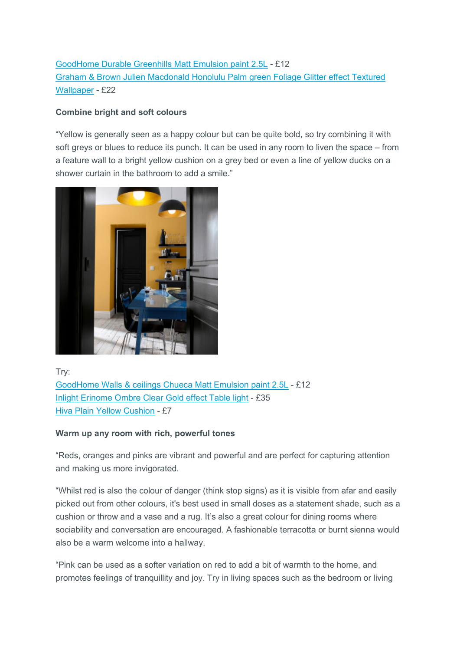[GoodHome Durable Greenhills Matt Emulsion paint 2.5L](https://mandrillapp.com/track/click/30141366/www.diy.com?p=eyJzIjoiNk1vZ0JVaVQ5R0tSTmJUd2NTb3NrUjBFUXlVIiwidiI6MSwicCI6IntcInVcIjozMDE0MTM2NixcInZcIjoxLFwidXJsXCI6XCJodHRwczpcXFwvXFxcL3d3dy5kaXkuY29tXFxcL2RlcGFydG1lbnRzXFxcL2dvb2Rob21lLWR1cmFibGUtZ3JlZW5oaWxscy1tYXR0LWVtdWxzaW9uLXBhaW50LTItNWxcXFwvMzY2MzYwMjQwNzM4Nl9CUS5wcmRcIixcImlkXCI6XCI4NzdhZTRlOWI1MGM0NmNlYTJiMDhmZmQxMzIzNDg2YlwiLFwidXJsX2lkc1wiOltcIjczZjUzMWYyMDZiZWEyNTZiZDJjZmVjNGI5MDA4NmNmOGU3OThhZjVcIl19In0) - £12 [Graham & Brown Julien Macdonald Honolulu Palm green Foliage Glitter effect Textured](https://mandrillapp.com/track/click/30141366/www.diy.com?p=eyJzIjoiLVFBd1ZLRlQ4aTEtaFB5NURzT3ROSEotREU0IiwidiI6MSwicCI6IntcInVcIjozMDE0MTM2NixcInZcIjoxLFwidXJsXCI6XCJodHRwczpcXFwvXFxcL3d3dy5kaXkuY29tXFxcL2RlcGFydG1lbnRzXFxcL2dyYWhhbS1icm93bi1qdWxpZW4tbWFjZG9uYWxkLWhvbm9sdWx1LXBhbG0tZ3JlZW4tZm9saWFnZS1nbGl0dGVyLWVmZmVjdC10ZXh0dXJlZC13YWxscGFwZXJcXFwvMTI3ODk1Nl9CUS5wcmRcIixcImlkXCI6XCI4NzdhZTRlOWI1MGM0NmNlYTJiMDhmZmQxMzIzNDg2YlwiLFwidXJsX2lkc1wiOltcImViMGYyZjJkYTNjZTNkOTE1YTQ5M2UxMWIzMjA4MmI0MTk1OGMyNThcIl19In0)  [Wallpaper](https://mandrillapp.com/track/click/30141366/www.diy.com?p=eyJzIjoiLVFBd1ZLRlQ4aTEtaFB5NURzT3ROSEotREU0IiwidiI6MSwicCI6IntcInVcIjozMDE0MTM2NixcInZcIjoxLFwidXJsXCI6XCJodHRwczpcXFwvXFxcL3d3dy5kaXkuY29tXFxcL2RlcGFydG1lbnRzXFxcL2dyYWhhbS1icm93bi1qdWxpZW4tbWFjZG9uYWxkLWhvbm9sdWx1LXBhbG0tZ3JlZW4tZm9saWFnZS1nbGl0dGVyLWVmZmVjdC10ZXh0dXJlZC13YWxscGFwZXJcXFwvMTI3ODk1Nl9CUS5wcmRcIixcImlkXCI6XCI4NzdhZTRlOWI1MGM0NmNlYTJiMDhmZmQxMzIzNDg2YlwiLFwidXJsX2lkc1wiOltcImViMGYyZjJkYTNjZTNkOTE1YTQ5M2UxMWIzMjA4MmI0MTk1OGMyNThcIl19In0) - £22

## **Combine bright and soft colours**

"Yellow is generally seen as a happy colour but can be quite bold, so try combining it with soft greys or blues to reduce its punch. It can be used in any room to liven the space – from a feature wall to a bright yellow cushion on a grey bed or even a line of yellow ducks on a shower curtain in the bathroom to add a smile."



Try: [GoodHome Walls & ceilings Chueca Matt Emulsion paint 2.5L](https://mandrillapp.com/track/click/30141366/www.diy.com?p=eyJzIjoieHdpdmlJQzFGclEtRlBoT3M1aE1EbXM4OE13IiwidiI6MSwicCI6IntcInVcIjozMDE0MTM2NixcInZcIjoxLFwidXJsXCI6XCJodHRwczpcXFwvXFxcL3d3dy5kaXkuY29tXFxcL2RlcGFydG1lbnRzXFxcL2dvb2Rob21lLXdhbGxzLWNlaWxpbmdzLWNodWVjYS1tYXR0LWVtdWxzaW9uLXBhaW50LTItNWxcXFwvMzY2MzYwMjU5NDY0Ml9CUS5wcmRcIixcImlkXCI6XCI4NzdhZTRlOWI1MGM0NmNlYTJiMDhmZmQxMzIzNDg2YlwiLFwidXJsX2lkc1wiOltcImZiYTAyNGNmMzgyNmM4MmExMDU5YTU5YTAyOTI1NDM1NDJkMWYxOThcIl19In0) - £12 [Inlight Erinome Ombre Clear Gold effect Table light](https://mandrillapp.com/track/click/30141366/www.diy.com?p=eyJzIjoiSFJDZFN2dXNfV1JFbmdUdFdRU1gwd2E5WkI4IiwidiI6MSwicCI6IntcInVcIjozMDE0MTM2NixcInZcIjoxLFwidXJsXCI6XCJodHRwczpcXFwvXFxcL3d3dy5kaXkuY29tXFxcL2RlcGFydG1lbnRzXFxcL2lubGlnaHQtZXJpbm9tZS1vbWJyZS1jbGVhci1nb2xkLWVmZmVjdC10YWJsZS1saWdodFxcXC81MDIwMDI0NDA3ODI2X0JRLnByZFwiLFwiaWRcIjpcIjg3N2FlNGU5YjUwYzQ2Y2VhMmIwOGZmZDEzMjM0ODZiXCIsXCJ1cmxfaWRzXCI6W1wiOTg4YWEyOTg2ZWFmYTFjYmIyOWUzMWZmMTk5MzAyNzFjOTgzMjMxMVwiXX0ifQ) - £35 [Hiva Plain Yellow Cushion](https://mandrillapp.com/track/click/30141366/www.diy.com?p=eyJzIjoieWtpRllzU3NlcklWVUNVWEpSbk50MWRUR0pjIiwidiI6MSwicCI6IntcInVcIjozMDE0MTM2NixcInZcIjoxLFwidXJsXCI6XCJodHRwczpcXFwvXFxcL3d3dy5kaXkuY29tXFxcL2RlcGFydG1lbnRzXFxcL2hpdmEtcGxhaW4teWVsbG93LWN1c2hpb25cXFwvMzY2MzYwMjY4NDQyOF9CUS5wcmRcIixcImlkXCI6XCI4NzdhZTRlOWI1MGM0NmNlYTJiMDhmZmQxMzIzNDg2YlwiLFwidXJsX2lkc1wiOltcImI3MzViYTU3MWNmZmNhODgyODk5MzYwN2ZkOWJhMmMwOTM4NGMyZTRcIl19In0) - £7

### **Warm up any room with rich, powerful tones**

"Reds, oranges and pinks are vibrant and powerful and are perfect for capturing attention and making us more invigorated.

"Whilst red is also the colour of danger (think stop signs) as it is visible from afar and easily picked out from other colours, it's best used in small doses as a statement shade, such as a cushion or throw and a vase and a rug. It's also a great colour for dining rooms where sociability and conversation are encouraged. A fashionable terracotta or burnt sienna would also be a warm welcome into a hallway.

"Pink can be used as a softer variation on red to add a bit of warmth to the home, and promotes feelings of tranquillity and joy. Try in living spaces such as the bedroom or living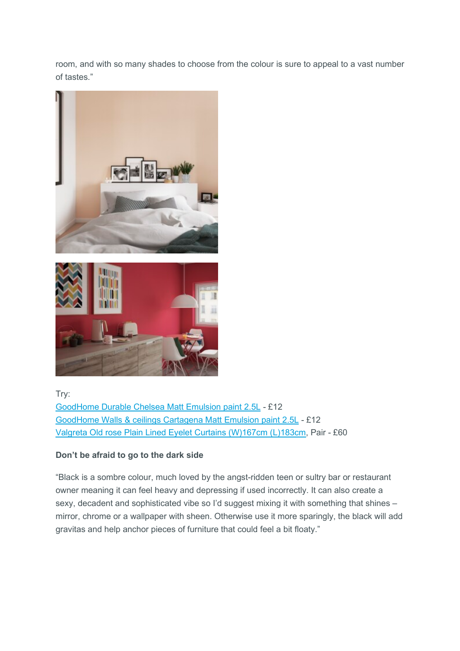room, and with so many shades to choose from the colour is sure to appeal to a vast number of tastes."





Try:

[GoodHome Durable Chelsea Matt Emulsion paint 2.5L](https://mandrillapp.com/track/click/30141366/www.diy.com?p=eyJzIjoiYzVyNmZCTlZZeTFXZnBjTm53MjA5VVNsTFlvIiwidiI6MSwicCI6IntcInVcIjozMDE0MTM2NixcInZcIjoxLFwidXJsXCI6XCJodHRwczpcXFwvXFxcL3d3dy5kaXkuY29tXFxcL2RlcGFydG1lbnRzXFxcL2dvb2Rob21lLWR1cmFibGUtY2hlbHNlYS1tYXR0LWVtdWxzaW9uLXBhaW50LTItNWxcXFwvMzY2MzYwMjQwNDcyOV9CUS5wcmQ_c3RvcmVJZD0xMTU0XCIsXCJpZFwiOlwiODc3YWU0ZTliNTBjNDZjZWEyYjA4ZmZkMTMyMzQ4NmJcIixcInVybF9pZHNcIjpbXCIxOWJkZjdjMmM2OWUwMGU1OGJjZmJhNWQ4ZjJjNzhhOWU5NzhiNGUyXCJdfSJ9) - £12 [GoodHome Walls & ceilings Cartagena Matt Emulsion paint 2.5L](https://mandrillapp.com/track/click/30141366/www.diy.com?p=eyJzIjoiMXlySXhJbUJRNHZEbnlabkJnZmt6OFVsQjQ4IiwidiI6MSwicCI6IntcInVcIjozMDE0MTM2NixcInZcIjoxLFwidXJsXCI6XCJodHRwczpcXFwvXFxcL3d3dy5kaXkuY29tXFxcL2RlcGFydG1lbnRzXFxcL2dvb2Rob21lLXdhbGxzLWNlaWxpbmdzLWNhcnRhZ2VuYS1tYXR0LWVtdWxzaW9uLXBhaW50LTItNWxcXFwvMzY2MzYwMjU5NTQyN19CUS5wcmRcIixcImlkXCI6XCI4NzdhZTRlOWI1MGM0NmNlYTJiMDhmZmQxMzIzNDg2YlwiLFwidXJsX2lkc1wiOltcIjFhMGU3OWI3Y2FjZTVlYWI4NDc5YzhmOGIxOTlhN2E4OTEzZTJkN2FcIl19In0) - £12 [Valgreta Old rose Plain Lined Eyelet Curtains \(W\)167cm \(L\)183cm,](https://mandrillapp.com/track/click/30141366/www.diy.com?p=eyJzIjoia3BVY1NfQWtveFRDNTJFdGdBcG4tbHp1dGNrIiwidiI6MSwicCI6IntcInVcIjozMDE0MTM2NixcInZcIjoxLFwidXJsXCI6XCJodHRwczpcXFwvXFxcL3d3dy5kaXkuY29tXFxcL2RlcGFydG1lbnRzXFxcL3ZhbGdyZXRhLW9sZC1yb3NlLXBsYWluLWxpbmVkLWV5ZWxldC1jdXJ0YWlucy13LTE2N2NtLWwtMTgzY20tcGFpclxcXC81MDU5MzQwMDAwMTE0X0JRLnByZFwiLFwiaWRcIjpcIjg3N2FlNGU5YjUwYzQ2Y2VhMmIwOGZmZDEzMjM0ODZiXCIsXCJ1cmxfaWRzXCI6W1wiYTFmNmRkYjE4Y2UwODNlMTNhOWYwYTliNjA3ZDkyYmJiN2M0NTRjZVwiXX0ifQ) Pair - £60

## **Don't be afraid to go to the dark side**

"Black is a sombre colour, much loved by the angst-ridden teen or sultry bar or restaurant owner meaning it can feel heavy and depressing if used incorrectly. It can also create a sexy, decadent and sophisticated vibe so I'd suggest mixing it with something that shines – mirror, chrome or a wallpaper with sheen. Otherwise use it more sparingly, the black will add gravitas and help anchor pieces of furniture that could feel a bit floaty."